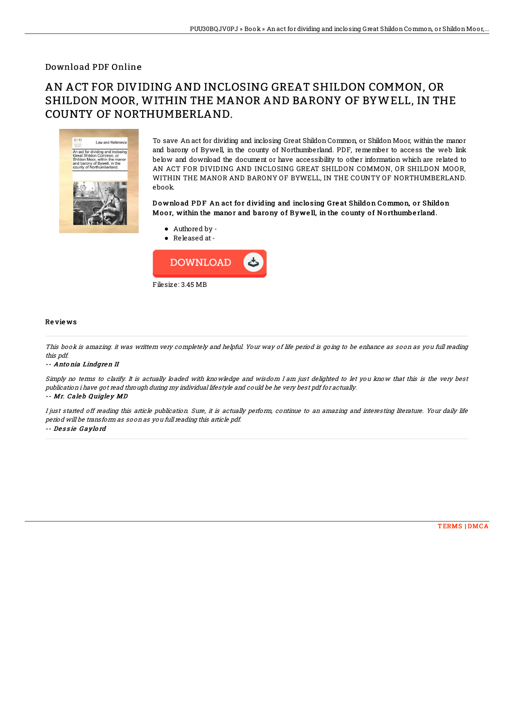## Download PDF Online

# AN ACT FOR DIVIDING AND INCLOSING GREAT SHILDON COMMON, OR SHILDON MOOR, WITHIN THE MANOR AND BARONY OF BYWELL, IN THE COUNTY OF NORTHUMBERLAND.



To save An act for dividing and inclosing Great Shildon Common, or Shildon Moor, within the manor and barony of Bywell, in the county of Northumberland. PDF, remember to access the web link below and download the document or have accessibility to other information which are related to AN ACT FOR DIVIDING AND INCLOSING GREAT SHILDON COMMON, OR SHILDON MOOR, WITHIN THE MANOR AND BARONY OF BYWELL, IN THE COUNTY OF NORTHUMBERLAND. ebook.

### Download PDF An act for dividing and inclosing Great Shildon Common, or Shildon Moor, within the manor and barony of Bywell, in the county of Northumberland.

- Authored by -
- Released at-



#### Re vie ws

This book is amazing. it was writtern very completely and helpful. Your way of life period is going to be enhance as soon as you full reading this pdf.

#### -- Anto nia Lindgren II

Simply no terms to clarify. It is actually loaded with knowledge and wisdom I am just delighted to let you know that this is the very best publication i have got read through during my individual lifestyle and could be he very best pdf for actually.

#### -- Mr. Caleb Quigley MD

I just started off reading this article publication. Sure, it is actually perform, continue to an amazing and interesting literature. Your daily life period will be transform as soon as you full reading this article pdf.

#### -- Dessie Gaylord